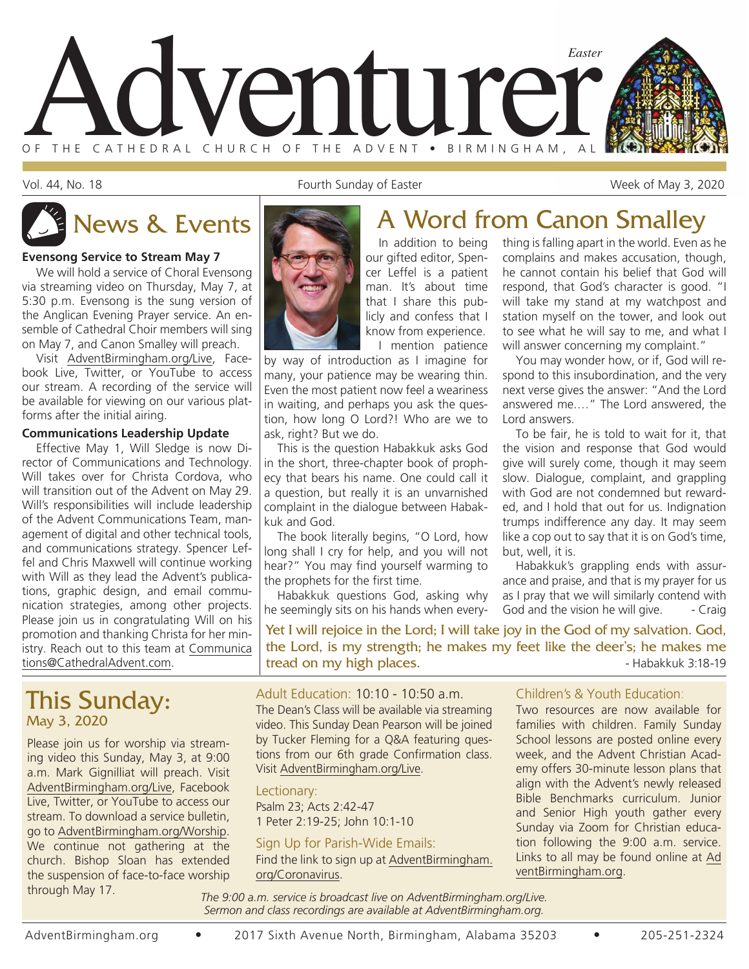

Vol. 44, No. 18 **Fourth Sunday of Easter** Week of May 3, 2020

complains and makes accusation, though, he cannot contain his belief that God will respond, that God's character is good. "I will take my stand at my watchpost and station myself on the tower, and look out to see what he will say to me, and what I will answer concerning my complaint." You may wonder how, or if, God will respond to this insubordination, and the very next verse gives the answer: "And the Lord answered me.…" The Lord answered, the

To be fair, he is told to wait for it, that the vision and response that God would give will surely come, though it may seem slow. Dialogue, complaint, and grappling with God are not condemned but rewarded, and I hold that out for us. Indignation trumps indifference any day. It may seem like a cop out to say that it is on God's time,

Habakkuk's grappling ends with assurance and praise, and that is my prayer for us as I pray that we will similarly contend with God and the vision he will give. - Craig

#### **Evensong Service to Stream May 7**

We will hold a service of Choral Evensong via streaming video on Thursday, May 7, at 5:30 p.m. Evensong is the sung version of the Anglican Evening Prayer service. An ensemble of Cathedral Choir members will sing on May 7, and Canon Smalley will preach.

Visit AdventBirmingham.org/Live, Facebook Live, Twitter, or YouTube to access our stream. A recording of the service will be available for viewing on our various platforms after the initial airing.

#### **Communications Leadership Update**

Effective May 1, Will Sledge is now Director of Communications and Technology. Will takes over for Christa Cordova, who will transition out of the Advent on May 29. Will's responsibilities will include leadership of the Advent Communications Team, management of digital and other technical tools, and communications strategy. Spencer Leffel and Chris Maxwell will continue working with Will as they lead the Advent's publications, graphic design, and email communication strategies, among other projects. Please join us in congratulating Will on his promotion and thanking Christa for her ministry. Reach out to this team at Communica tions@CathedralAdvent.com.

## This Sunday: May 3, 2020

Please join us for worship via streaming video this Sunday, May 3, at 9:00 a.m. Mark Gignilliat will preach. Visit AdventBirmingham.org/Live, Facebook Live, Twitter, or YouTube to access our stream. To download a service bulletin, go to AdventBirmingham.org/Worship. We continue not gathering at the church. Bishop Sloan has extended the suspension of face-to-face worship through May 17.



# thing is falling apart in the world. Even as he News & Events **A Word from Canon Smalley**

Lord answers.

but, well, it is.

In addition to being our gifted editor, Spencer Leffel is a patient man. It's about time that I share this publicly and confess that I know from experience. I mention patience

by way of introduction as I imagine for many, your patience may be wearing thin. Even the most patient now feel a weariness in waiting, and perhaps you ask the question, how long O Lord?! Who are we to ask, right? But we do.

This is the question Habakkuk asks God in the short, three-chapter book of prophecy that bears his name. One could call it a question, but really it is an unvarnished complaint in the dialogue between Habakkuk and God.

The book literally begins, "O Lord, how long shall I cry for help, and you will not hear?" You may find yourself warming to the prophets for the first time.

Habakkuk questions God, asking why he seemingly sits on his hands when every-

Yet I will rejoice in the Lord; I will take joy in the God of my salvation. God, the Lord, is my strength; he makes my feet like the deer's; he makes me tread on my high places. The same state of the Habakkuk 3:18-19

#### Adult Education: 10:10 - 10:50 a.m. The Dean's Class will be available via streaming video. This Sunday Dean Pearson will be joined by Tucker Fleming for a Q&A featuring questions from our 6th grade Confirmation class. Visit AdventBirmingham.org/Live.

Lectionary: Psalm 23; Acts 2:42-47 1 Peter 2:19-25; John 10:1-10

#### Sign Up for Parish-Wide Emails:

Find the link to sign up at AdventBirmingham. org/Coronavirus.

### Children's & Youth Education:

Two resources are now available for families with children. Family Sunday School lessons are posted online every week, and the Advent Christian Academy offers 30-minute lesson plans that align with the Advent's newly released Bible Benchmarks curriculum. Junior and Senior High youth gather every Sunday via Zoom for Christian education following the 9:00 a.m. service. Links to all may be found online at Ad ventBirmingham.org.

*The 9:00 a.m. service is broadcast live on AdventBirmingham.org/Live. Sermon and class recordings are available at AdventBirmingham.org.*